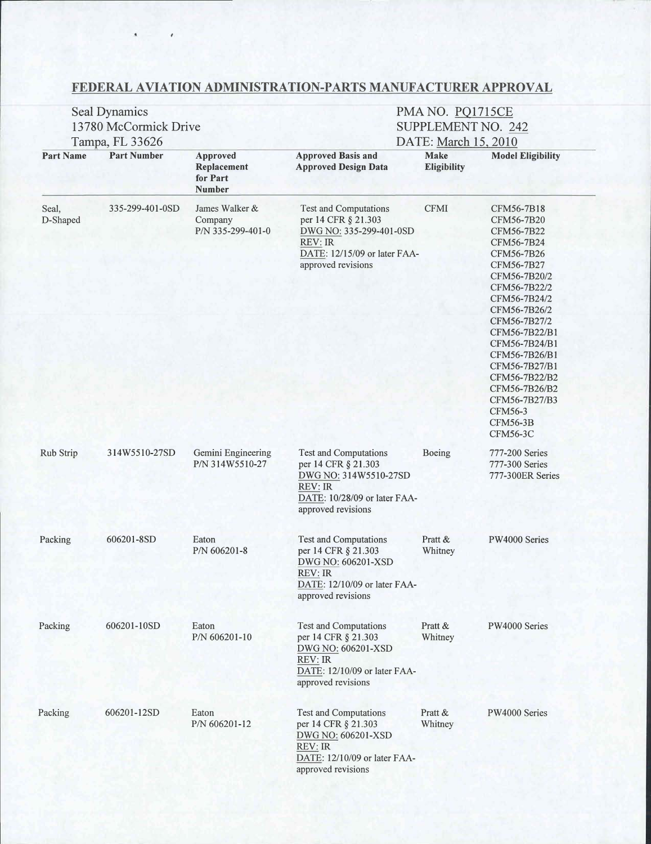## FEDERAL AVIATION ADMINISTRATION-PARTS MANUFACTURER APPROVAL

|                                                                       | Seal Dynamics<br>13780 McCormick Drive |                                                | PMA NO. PQ1715CE<br>SUPPLEMENT NO. 242                                                                                                                 |                                                          |                                                                                                                                                                                                                                                                                                                                          |
|-----------------------------------------------------------------------|----------------------------------------|------------------------------------------------|--------------------------------------------------------------------------------------------------------------------------------------------------------|----------------------------------------------------------|------------------------------------------------------------------------------------------------------------------------------------------------------------------------------------------------------------------------------------------------------------------------------------------------------------------------------------------|
| Tampa, FL 33626<br><b>Part Number</b><br><b>Part Name</b><br>Approved |                                        |                                                | <b>Approved Basis and</b>                                                                                                                              | DATE: March 15, 2010<br>Make<br><b>Model Eligibility</b> |                                                                                                                                                                                                                                                                                                                                          |
|                                                                       |                                        | Replacement<br>for Part<br><b>Number</b>       | <b>Approved Design Data</b>                                                                                                                            | <b>Eligibility</b>                                       |                                                                                                                                                                                                                                                                                                                                          |
| Seal,<br>D-Shaped                                                     | 335-299-401-0SD                        | James Walker &<br>Company<br>P/N 335-299-401-0 | <b>Test and Computations</b><br>per 14 CFR § 21.303<br>DWG NO: 335-299-401-0SD<br><b>REV: IR</b><br>DATE: 12/15/09 or later FAA-<br>approved revisions | <b>CFMI</b>                                              | CFM56-7B18<br>CFM56-7B20<br>CFM56-7B22<br>CFM56-7B24<br>CFM56-7B26<br>CFM56-7B27<br>CFM56-7B20/2<br>CFM56-7B22/2<br>CFM56-7B24/2<br>CFM56-7B26/2<br>CFM56-7B27/2<br>CFM56-7B22/B1<br>CFM56-7B24/B1<br>CFM56-7B26/B1<br>CFM56-7B27/B1<br>CFM56-7B22/B2<br>CFM56-7B26/B2<br>CFM56-7B27/B3<br>CFM56-3<br><b>CFM56-3B</b><br><b>CFM56-3C</b> |
| Rub Strip                                                             | 314W5510-27SD                          | Gemini Engineering<br>P/N 314W5510-27          | <b>Test and Computations</b><br>per 14 CFR § 21.303<br>DWG NO: 314W5510-27SD<br><b>REV: IR</b><br>DATE: 10/28/09 or later FAA-<br>approved revisions   | Boeing                                                   | 777-200 Series<br>777-300 Series<br>777-300ER Series                                                                                                                                                                                                                                                                                     |
| Packing                                                               | 606201-8SD                             | Eaton<br>P/N 606201-8                          | <b>Test and Computations</b><br>per 14 CFR § 21.303<br>DWG NO: 606201-XSD<br><b>REV: IR</b><br>DATE: 12/10/09 or later FAA-<br>approved revisions      | Pratt &<br>Whitney                                       | PW4000 Series                                                                                                                                                                                                                                                                                                                            |
| Packing                                                               | 606201-10SD                            | Eaton<br>P/N 606201-10                         | <b>Test and Computations</b><br>per 14 CFR § 21.303<br>DWG NO: 606201-XSD<br><b>REV: IR</b><br>DATE: 12/10/09 or later FAA-<br>approved revisions      | Pratt &<br>Whitney                                       | PW4000 Series                                                                                                                                                                                                                                                                                                                            |
| Packing                                                               | 606201-12SD                            | Eaton<br>P/N 606201-12                         | <b>Test and Computations</b><br>per 14 CFR § 21.303<br>DWG NO: 606201-XSD<br><b>REV:</b> IR<br>DATE: 12/10/09 or later FAA-<br>approved revisions      | Pratt &<br>Whitney                                       | PW4000 Series                                                                                                                                                                                                                                                                                                                            |